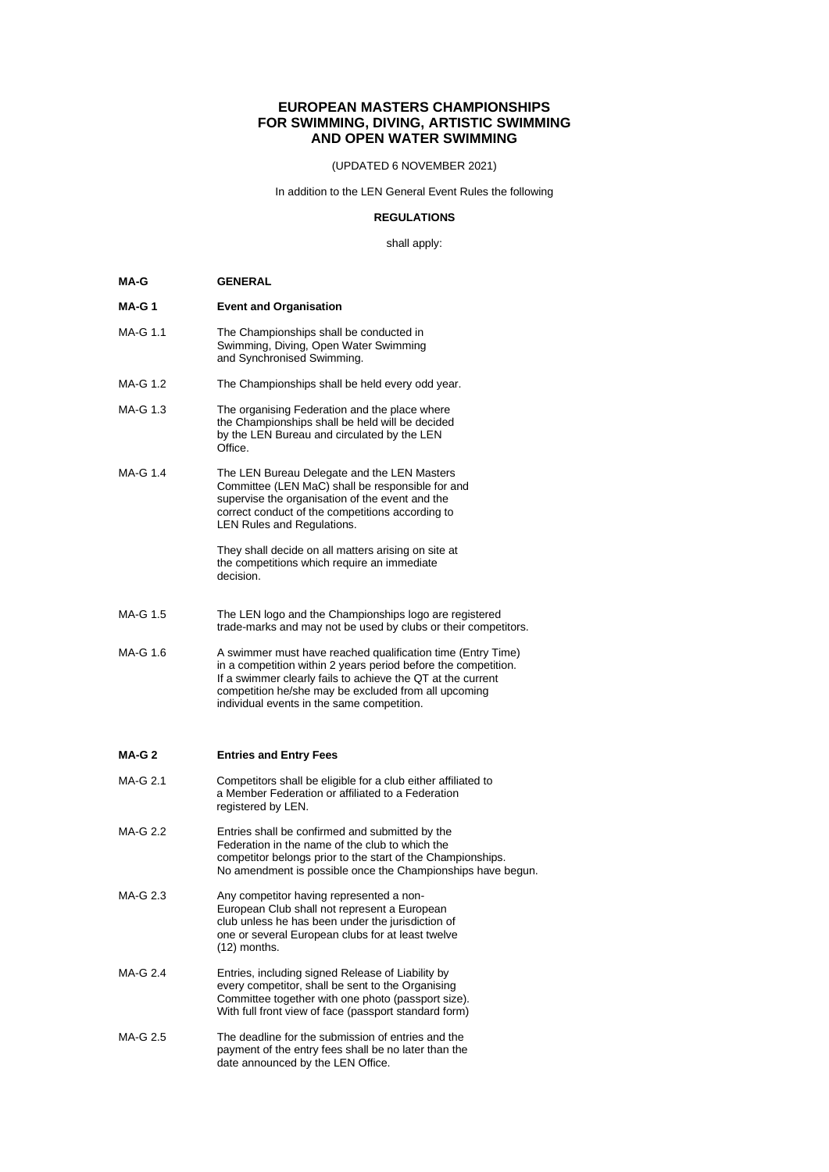# **EUROPEAN MASTERS CHAMPIONSHIPS FOR SWIMMING, DIVING, ARTISTIC SWIMMING AND OPEN WATER SWIMMING**

(UPDATED 6 NOVEMBER 2021)

In addition to the LEN General Event Rules the following

### **REGULATIONS**

shall apply:

| <b>GENERAL</b> |
|----------------|
|                |
|                |

- **MA-G 1 Event and Organisation**
- MA-G 1.1 The Championships shall be conducted in Swimming, Diving, Open Water Swimming and Synchronised Swimming.
- MA-G 1.2 The Championships shall be held every odd year.
- MA-G 1.3 The organising Federation and the place where the Championships shall be held will be decided by the LEN Bureau and circulated by the LEN Office.
- MA-G 1.4 The LEN Bureau Delegate and the LEN Masters Committee (LEN MaC) shall be responsible for and supervise the organisation of the event and the correct conduct of the competitions according to LEN Rules and Regulations.

They shall decide on all matters arising on site at the competitions which require an immediate decision.

- MA-G 1.5 The LEN logo and the Championships logo are registered trade-marks and may not be used by clubs or their competitors.
- MA-G 1.6 A swimmer must have reached qualification time (Entry Time) in a competition within 2 years period before the competition. If a swimmer clearly fails to achieve the QT at the current competition he/she may be excluded from all upcoming individual events in the same competition.

# **MA-G 2 Entries and Entry Fees**

- MA-G 2.1 Competitors shall be eligible for a club either affiliated to a Member Federation or affiliated to a Federation registered by LEN.
- MA-G 2.2 Entries shall be confirmed and submitted by the Federation in the name of the club to which the competitor belongs prior to the start of the Championships. No amendment is possible once the Championships have begun.
- MA-G 2.3 Any competitor having represented a non-European Club shall not represent a European club unless he has been under the jurisdiction of one or several European clubs for at least twelve (12) months.
- MA-G 2.4 Entries, including signed Release of Liability by every competitor, shall be sent to the Organising Committee together with one photo (passport size). With full front view of face (passport standard form)
- MA-G 2.5 The deadline for the submission of entries and the payment of the entry fees shall be no later than the date announced by the LEN Office.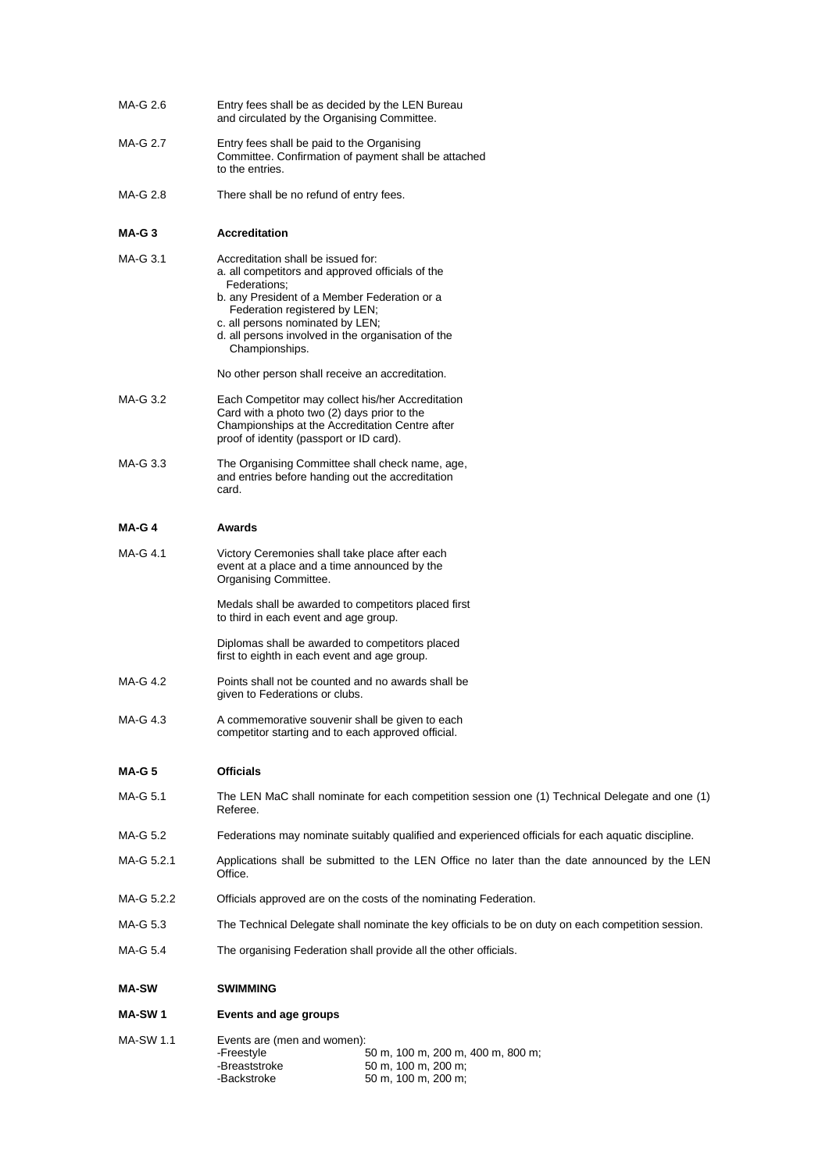- MA-G 2.6 Entry fees shall be as decided by the LEN Bureau and circulated by the Organising Committee.
- MA-G 2.7 Entry fees shall be paid to the Organising Committee. Confirmation of payment shall be attached to the entries.
- MA-G 2.8 There shall be no refund of entry fees.

## **MA-G 3 Accreditation**

| MA-G 3.1   | Accreditation shall be issued for:<br>a. all competitors and approved officials of the<br>Federations:<br>b. any President of a Member Federation or a<br>Federation registered by LEN;<br>c. all persons nominated by LEN;<br>d. all persons involved in the organisation of the<br>Championships. |
|------------|-----------------------------------------------------------------------------------------------------------------------------------------------------------------------------------------------------------------------------------------------------------------------------------------------------|
|            | No other person shall receive an accreditation.                                                                                                                                                                                                                                                     |
| MA-G 3.2   | Each Competitor may collect his/her Accreditation<br>Card with a photo two (2) days prior to the<br>Championships at the Accreditation Centre after<br>proof of identity (passport or ID card).                                                                                                     |
| $MA-G.3.3$ | The Organising Committee shall check name, age,<br>and entries before handing out the accreditation<br>card.                                                                                                                                                                                        |
| $MA-G4$    | Awards                                                                                                                                                                                                                                                                                              |
| MA-G 4.1   | Victory Ceremonies shall take place after each<br>event at a place and a time announced by the<br>Organising Committee.                                                                                                                                                                             |
|            | Medals shall be awarded to competitors placed first<br>to third in each event and age group.                                                                                                                                                                                                        |

Diplomas shall be awarded to competitors placed first to eighth in each event and age group.

- MA-G 4.2 Points shall not be counted and no awards shall be given to Federations or clubs.
- MA-G 4.3 A commemorative souvenir shall be given to each competitor starting and to each approved official.

### **MA-G 5 Officials**

- MA-G 5.1 The LEN MaC shall nominate for each competition session one (1) Technical Delegate and one (1) Referee.
- MA-G 5.2 Federations may nominate suitably qualified and experienced officials for each aquatic discipline.
- MA-G 5.2.1 Applications shall be submitted to the LEN Office no later than the date announced by the LEN Office.
- MA-G 5.2.2 Officials approved are on the costs of the nominating Federation.
- MA-G 5.3 The Technical Delegate shall nominate the key officials to be on duty on each competition session.
- MA-G 5.4 The organising Federation shall provide all the other officials.

#### **MA-SW SWIMMING**

- **MA-SW 1 Events and age groups**
- MA-SW 1.1 Events are (men and women):<br>}<br>! 50 m, 100 m, 200 m, 400 m, 800 m; -Breaststroke 50 m, 100 m, 200 m;<br>-Backstroke 50 m, 100 m, 200 m; 50 m, 100 m, 200 m;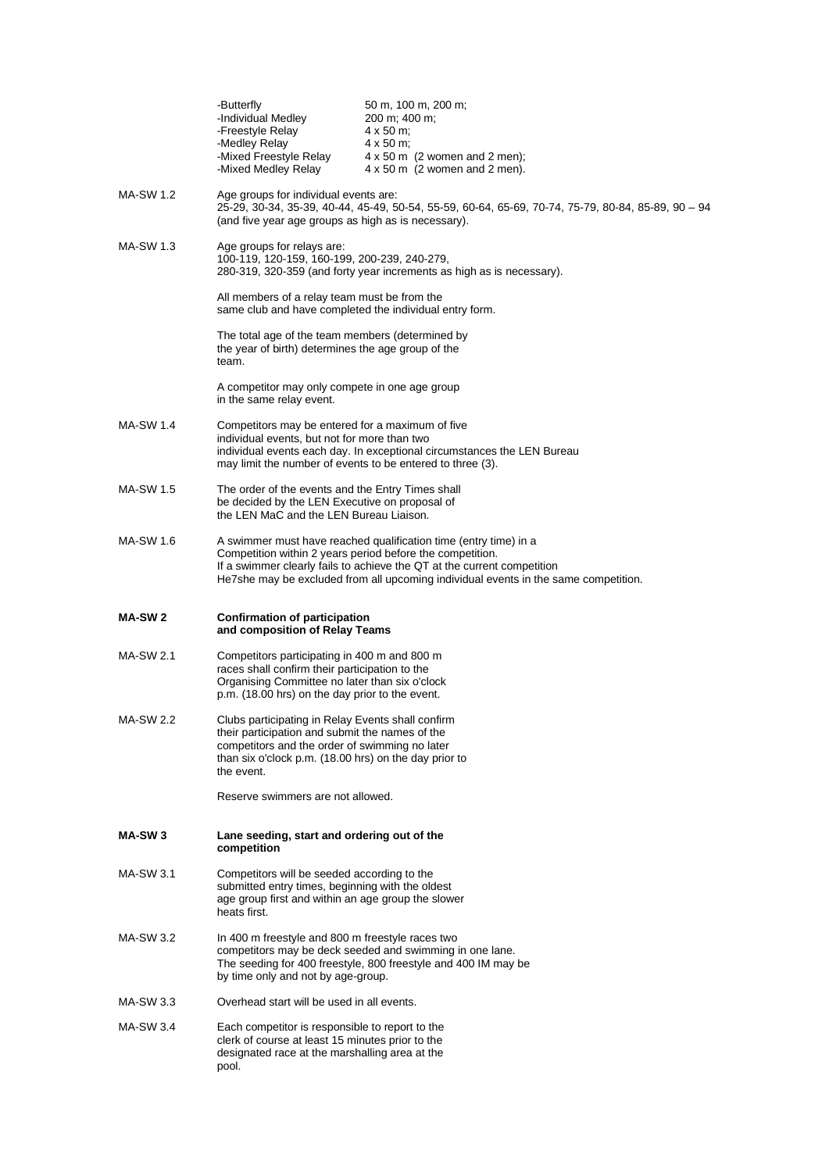|                    | -Butterfly<br>-Individual Medley<br>-Freestyle Relay<br>-Medley Relay                                                                                                                                                                                                                           | 50 m, 100 m, 200 m;<br>200 m; 400 m;<br>4 x 50 m;<br>$4 \times 50$ m;                                                      |  |  |
|--------------------|-------------------------------------------------------------------------------------------------------------------------------------------------------------------------------------------------------------------------------------------------------------------------------------------------|----------------------------------------------------------------------------------------------------------------------------|--|--|
|                    | -Mixed Freestyle Relay<br>-Mixed Medley Relay                                                                                                                                                                                                                                                   | $4 \times 50$ m (2 women and 2 men);<br>$4 \times 50$ m (2 women and 2 men).                                               |  |  |
| MA-SW 1.2          | Age groups for individual events are:<br>25-29, 30-34, 35-39, 40-44, 45-49, 50-54, 55-59, 60-64, 65-69, 70-74, 75-79, 80-84, 85-89, 90 - 94<br>(and five year age groups as high as is necessary).                                                                                              |                                                                                                                            |  |  |
| MA-SW 1.3          | Age groups for relays are:<br>100-119, 120-159, 160-199, 200-239, 240-279,<br>280-319, 320-359 (and forty year increments as high as is necessary).                                                                                                                                             |                                                                                                                            |  |  |
|                    | All members of a relay team must be from the<br>same club and have completed the individual entry form.                                                                                                                                                                                         |                                                                                                                            |  |  |
|                    | The total age of the team members (determined by<br>the year of birth) determines the age group of the<br>team.                                                                                                                                                                                 |                                                                                                                            |  |  |
|                    | A competitor may only compete in one age group<br>in the same relay event.                                                                                                                                                                                                                      |                                                                                                                            |  |  |
| MA-SW 1.4          | Competitors may be entered for a maximum of five<br>individual events, but not for more than two<br>individual events each day. In exceptional circumstances the LEN Bureau<br>may limit the number of events to be entered to three (3).                                                       |                                                                                                                            |  |  |
| MA-SW 1.5          | The order of the events and the Entry Times shall<br>be decided by the LEN Executive on proposal of<br>the LEN MaC and the LEN Bureau Liaison.                                                                                                                                                  |                                                                                                                            |  |  |
| MA-SW 1.6          | A swimmer must have reached qualification time (entry time) in a<br>Competition within 2 years period before the competition.<br>If a swimmer clearly fails to achieve the QT at the current competition<br>He7she may be excluded from all upcoming individual events in the same competition. |                                                                                                                            |  |  |
|                    |                                                                                                                                                                                                                                                                                                 |                                                                                                                            |  |  |
| <b>MA-SW2</b>      | <b>Confirmation of participation</b><br>and composition of Relay Teams                                                                                                                                                                                                                          |                                                                                                                            |  |  |
| <b>MA-SW 2.1</b>   | Competitors participating in 400 m and 800 m<br>races shall confirm their participation to the<br>Organising Committee no later than six o'clock<br>p.m. (18.00 hrs) on the day prior to the event.                                                                                             |                                                                                                                            |  |  |
| <b>MA-SW 2.2</b>   | Clubs participating in Relay Events shall confirm<br>their participation and submit the names of the<br>competitors and the order of swimming no later<br>than six o'clock p.m. (18.00 hrs) on the day prior to<br>the event.                                                                   |                                                                                                                            |  |  |
|                    | Reserve swimmers are not allowed.                                                                                                                                                                                                                                                               |                                                                                                                            |  |  |
| MA-SW <sub>3</sub> | Lane seeding, start and ordering out of the<br>competition                                                                                                                                                                                                                                      |                                                                                                                            |  |  |
| MA-SW 3.1          | Competitors will be seeded according to the<br>submitted entry times, beginning with the oldest<br>age group first and within an age group the slower<br>heats first.                                                                                                                           |                                                                                                                            |  |  |
| MA-SW 3.2          | In 400 m freestyle and 800 m freestyle races two<br>by time only and not by age-group.                                                                                                                                                                                                          | competitors may be deck seeded and swimming in one lane.<br>The seeding for 400 freestyle, 800 freestyle and 400 IM may be |  |  |
| MA-SW 3.3          | Overhead start will be used in all events.                                                                                                                                                                                                                                                      |                                                                                                                            |  |  |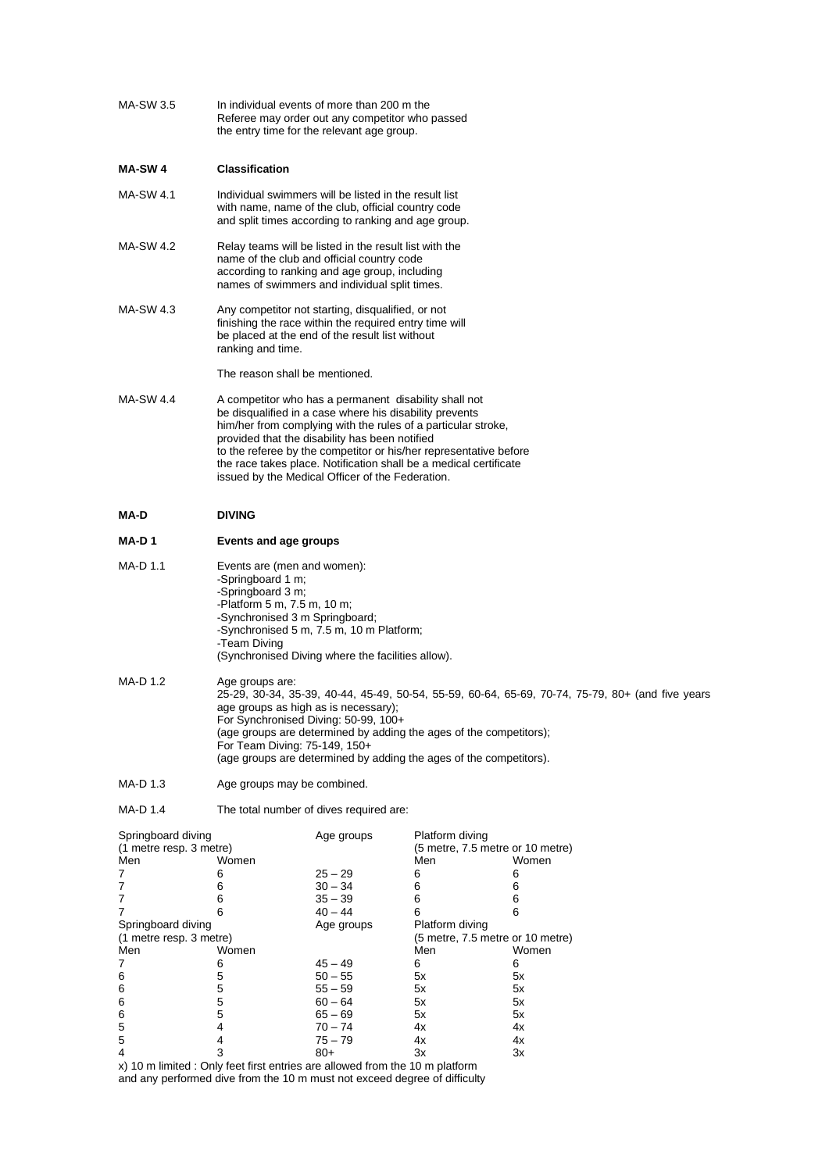| MA-SW 3.5                                     |                                                                                                                                                                                                                                                                                                                                                                                                                                   | In individual events of more than 200 m the<br>Referee may order out any competitor who passed<br>the entry time for the relevant age group.                   |                                                     |          |  |
|-----------------------------------------------|-----------------------------------------------------------------------------------------------------------------------------------------------------------------------------------------------------------------------------------------------------------------------------------------------------------------------------------------------------------------------------------------------------------------------------------|----------------------------------------------------------------------------------------------------------------------------------------------------------------|-----------------------------------------------------|----------|--|
| <b>MA-SW4</b>                                 | <b>Classification</b>                                                                                                                                                                                                                                                                                                                                                                                                             |                                                                                                                                                                |                                                     |          |  |
| MA-SW 4.1                                     | Individual swimmers will be listed in the result list<br>with name, name of the club, official country code<br>and split times according to ranking and age group.                                                                                                                                                                                                                                                                |                                                                                                                                                                |                                                     |          |  |
| <b>MA-SW 4.2</b>                              | Relay teams will be listed in the result list with the<br>name of the club and official country code<br>according to ranking and age group, including<br>names of swimmers and individual split times.                                                                                                                                                                                                                            |                                                                                                                                                                |                                                     |          |  |
| MA-SW 4.3                                     | ranking and time.                                                                                                                                                                                                                                                                                                                                                                                                                 | Any competitor not starting, disqualified, or not<br>finishing the race within the required entry time will<br>be placed at the end of the result list without |                                                     |          |  |
|                                               | The reason shall be mentioned.                                                                                                                                                                                                                                                                                                                                                                                                    |                                                                                                                                                                |                                                     |          |  |
| <b>MA-SW 4.4</b>                              | A competitor who has a permanent disability shall not<br>be disqualified in a case where his disability prevents<br>him/her from complying with the rules of a particular stroke,<br>provided that the disability has been notified<br>to the referee by the competitor or his/her representative before<br>the race takes place. Notification shall be a medical certificate<br>issued by the Medical Officer of the Federation. |                                                                                                                                                                |                                                     |          |  |
| MA-D                                          | <b>DIVING</b>                                                                                                                                                                                                                                                                                                                                                                                                                     |                                                                                                                                                                |                                                     |          |  |
| MA-D1                                         | Events and age groups                                                                                                                                                                                                                                                                                                                                                                                                             |                                                                                                                                                                |                                                     |          |  |
| MA-D 1.1                                      | Events are (men and women):<br>-Springboard 1 m;<br>-Springboard 3 m;<br>-Platform 5 m, 7.5 m, 10 m;<br>-Synchronised 3 m Springboard;<br>-Synchronised 5 m, 7.5 m, 10 m Platform;<br>-Team Diving<br>(Synchronised Diving where the facilities allow).                                                                                                                                                                           |                                                                                                                                                                |                                                     |          |  |
| MA-D 1.2                                      | Age groups are:<br>25-29, 30-34, 35-39, 40-44, 45-49, 50-54, 55-59, 60-64, 65-69, 70-74, 75-79, 80+ (and five years<br>age groups as high as is necessary);<br>For Synchronised Diving: 50-99, 100+<br>(age groups are determined by adding the ages of the competitors);<br>For Team Diving: 75-149, 150+<br>(age groups are determined by adding the ages of the competitors).                                                  |                                                                                                                                                                |                                                     |          |  |
| MA-D 1.3                                      | Age groups may be combined.                                                                                                                                                                                                                                                                                                                                                                                                       |                                                                                                                                                                |                                                     |          |  |
| MA-D 1.4                                      |                                                                                                                                                                                                                                                                                                                                                                                                                                   | The total number of dives required are:                                                                                                                        |                                                     |          |  |
| Springboard diving<br>(1 metre resp. 3 metre) |                                                                                                                                                                                                                                                                                                                                                                                                                                   | Age groups                                                                                                                                                     | Platform diving<br>(5 metre, 7.5 metre or 10 metre) |          |  |
| Men                                           | Women                                                                                                                                                                                                                                                                                                                                                                                                                             |                                                                                                                                                                | Men                                                 | Women    |  |
| 7                                             | 6                                                                                                                                                                                                                                                                                                                                                                                                                                 | $25 - 29$                                                                                                                                                      | 6                                                   | 6        |  |
| 7                                             | 6                                                                                                                                                                                                                                                                                                                                                                                                                                 | 30 – 34                                                                                                                                                        | 6                                                   | 6        |  |
| 7<br>7                                        | 6<br>6                                                                                                                                                                                                                                                                                                                                                                                                                            | $35 - 39$<br>$40 - 44$                                                                                                                                         | 6<br>6                                              | 6<br>6   |  |
| Springboard diving                            |                                                                                                                                                                                                                                                                                                                                                                                                                                   | Age groups                                                                                                                                                     | Platform diving                                     |          |  |
| (1 metre resp. 3 metre)<br>Men                | Women                                                                                                                                                                                                                                                                                                                                                                                                                             |                                                                                                                                                                | (5 metre, 7.5 metre or 10 metre)<br>Men             | Women    |  |
| 7                                             | 6                                                                                                                                                                                                                                                                                                                                                                                                                                 | $45 - 49$                                                                                                                                                      | 6                                                   | 6        |  |
| 6                                             | 5                                                                                                                                                                                                                                                                                                                                                                                                                                 | $50 - 55$                                                                                                                                                      | 5x                                                  | 5х       |  |
| 6                                             | 5                                                                                                                                                                                                                                                                                                                                                                                                                                 | 55 – 59                                                                                                                                                        | 5x                                                  | 5х       |  |
| 6                                             | 5                                                                                                                                                                                                                                                                                                                                                                                                                                 | $60 - 64$                                                                                                                                                      | 5х                                                  | 5х       |  |
| 6<br>5                                        | 5<br>4                                                                                                                                                                                                                                                                                                                                                                                                                            | $65 - 69$<br>70 – 74                                                                                                                                           | 5x<br>4х                                            | 5х<br>4х |  |
| 5                                             | 4                                                                                                                                                                                                                                                                                                                                                                                                                                 | 75 – 79                                                                                                                                                        | 4x                                                  | 4х       |  |
| 4                                             | 3                                                                                                                                                                                                                                                                                                                                                                                                                                 | 80+                                                                                                                                                            | Зx                                                  | Зx       |  |
|                                               | x) 10 m limited : Only feet first entries are allowed from the 10 m platform                                                                                                                                                                                                                                                                                                                                                      |                                                                                                                                                                |                                                     |          |  |

and any performed dive from the 10 m must not exceed degree of difficulty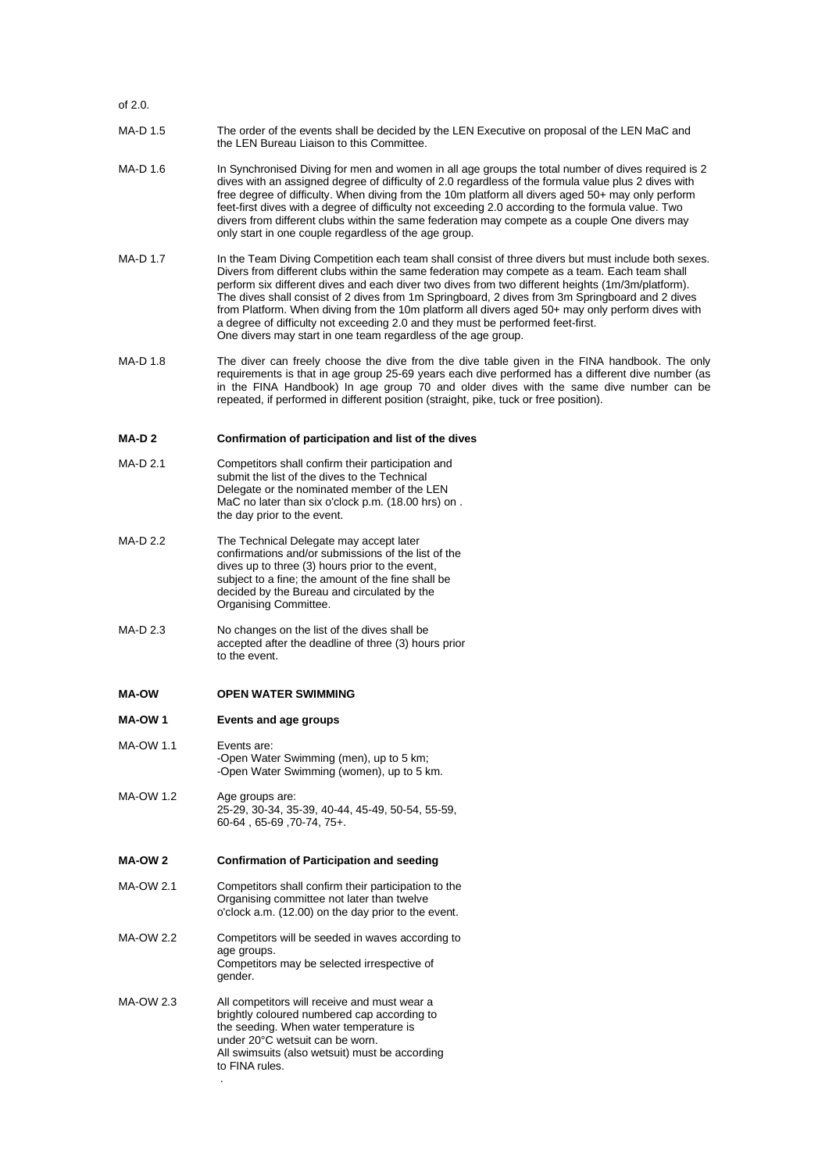#### of 2.0.

- MA-D 1.5 The order of the events shall be decided by the LEN Executive on proposal of the LEN MaC and the LEN Bureau Liaison to this Committee.
- MA-D 1.6 In Synchronised Diving for men and women in all age groups the total number of dives required is 2 dives with an assigned degree of difficulty of 2.0 regardless of the formula value plus 2 dives with free degree of difficulty. When diving from the 10m platform all divers aged 50+ may only perform feet-first dives with a degree of difficulty not exceeding 2.0 according to the formula value. Two divers from different clubs within the same federation may compete as a couple One divers may only start in one couple regardless of the age group.
- MA-D 1.7 In the Team Diving Competition each team shall consist of three divers but must include both sexes. Divers from different clubs within the same federation may compete as a team. Each team shall perform six different dives and each diver two dives from two different heights (1m/3m/platform). The dives shall consist of 2 dives from 1m Springboard, 2 dives from 3m Springboard and 2 dives from Platform. When diving from the 10m platform all divers aged 50+ may only perform dives with a degree of difficulty not exceeding 2.0 and they must be performed feet-first. One divers may start in one team regardless of the age group.
- MA-D 1.8 The diver can freely choose the dive from the dive table given in the FINA handbook. The only requirements is that in age group 25-69 years each dive performed has a different dive number (as in the FINA Handbook) In age group 70 and older dives with the same dive number can be repeated, if performed in different position (straight, pike, tuck or free position).

#### **MA-D 2 Confirmation of participation and list of the dives**

- MA-D 2.1 Competitors shall confirm their participation and submit the list of the dives to the Technical Delegate or the nominated member of the LEN MaC no later than six o'clock p.m. (18.00 hrs) on . the day prior to the event.
- MA-D 2.2 The Technical Delegate may accept later confirmations and/or submissions of the list of the dives up to three (3) hours prior to the event, subject to a fine; the amount of the fine shall be decided by the Bureau and circulated by the Organising Committee.
- MA-D 2.3 No changes on the list of the dives shall be accepted after the deadline of three (3) hours prior to the event.

## **MA-OW OPEN WATER SWIMMING**

# **MA-OW 1 Events and age groups**

- MA-OW 1.1 Fyents are: -Open Water Swimming (men), up to 5 km; -Open Water Swimming (women), up to 5 km.
- MA-OW 1.2 Age groups are: 25-29, 30-34, 35-39, 40-44, 45-49, 50-54, 55-59, 60-64 , 65-69 ,70-74, 75+.

# **MA-OW 2 Confirmation of Participation and seeding**

- MA-OW 2.1 Competitors shall confirm their participation to the Organising committee not later than twelve o'clock a.m. (12.00) on the day prior to the event.
- MA-OW 2.2 Competitors will be seeded in waves according to age groups. Competitors may be selected irrespective of gender.
- MA-OW 2.3 All competitors will receive and must wear a brightly coloured numbered cap according to the seeding. When water temperature is under 20°C wetsuit can be worn. All swimsuits (also wetsuit) must be according to FINA rules. .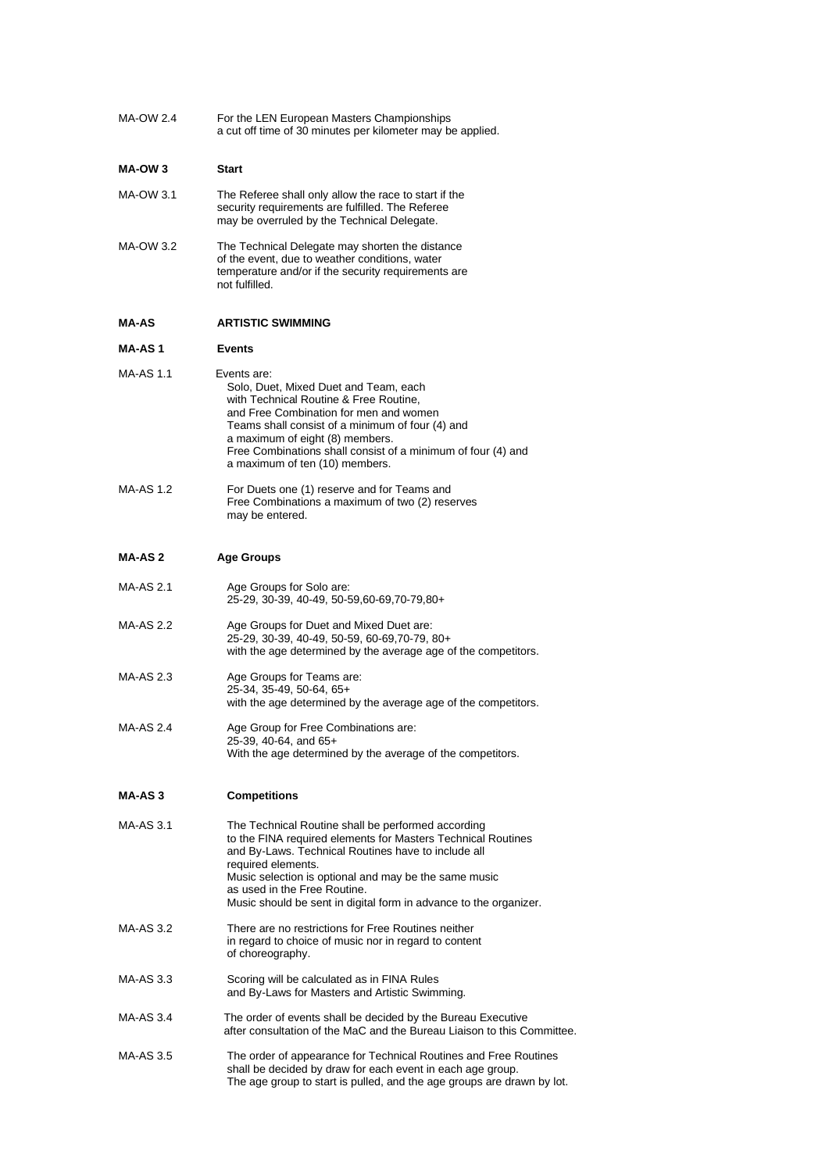MA-OW 2.4 For the LEN European Masters Championships a cut off time of 30 minutes per kilometer may be applied.

## **MA-OW 3 Start**

- MA-OW 3.1 The Referee shall only allow the race to start if the security requirements are fulfilled. The Referee may be overruled by the Technical Delegate.
- MA-OW 3.2 The Technical Delegate may shorten the distance of the event, due to weather conditions, water temperature and/or if the security requirements are not fulfilled.

#### **MA-AS ARTISTIC SWIMMING**

#### **MA-AS 1 Events**

- MA-AS 1.1 Events are: Solo, Duet, Mixed Duet and Team, each with Technical Routine & Free Routine, and Free Combination for men and women Teams shall consist of a minimum of four (4) and a maximum of eight (8) members. Free Combinations shall consist of a minimum of four (4) and a maximum of ten (10) members.
- MA-AS 1.2 For Duets one (1) reserve and for Teams and Free Combinations a maximum of two (2) reserves may be entered.

## **MA-AS 2 Age Groups**

- MA-AS 2.1 Age Groups for Solo are: 25-29, 30-39, 40-49, 50-59,60-69,70-79,80+
- MA-AS 2.2 Age Groups for Duet and Mixed Duet are: 25-29, 30-39, 40-49, 50-59, 60-69,70-79, 80+ with the age determined by the average age of the competitors.
- MA-AS 2.3 Age Groups for Teams are: 25-34, 35-49, 50-64, 65+ with the age determined by the average age of the competitors.
- MA-AS 2.4 Age Group for Free Combinations are: 25-39, 40-64, and 65+ With the age determined by the average of the competitors.

### **MA-AS 3 Competitions**

- MA-AS 3.1 The Technical Routine shall be performed according to the FINA required elements for Masters Technical Routines and By-Laws. Technical Routines have to include all required elements. Music selection is optional and may be the same music as used in the Free Routine. Music should be sent in digital form in advance to the organizer. MA-AS 3.2 There are no restrictions for Free Routines neither in regard to choice of music nor in regard to content of choreography. MA-AS 3.3 Scoring will be calculated as in FINA Rules and By-Laws for Masters and Artistic Swimming.
- MA-AS 3.4 The order of events shall be decided by the Bureau Executive after consultation of the MaC and the Bureau Liaison to this Committee.
- MA-AS 3.5 The order of appearance for Technical Routines and Free Routines shall be decided by draw for each event in each age group. The age group to start is pulled, and the age groups are drawn by lot.